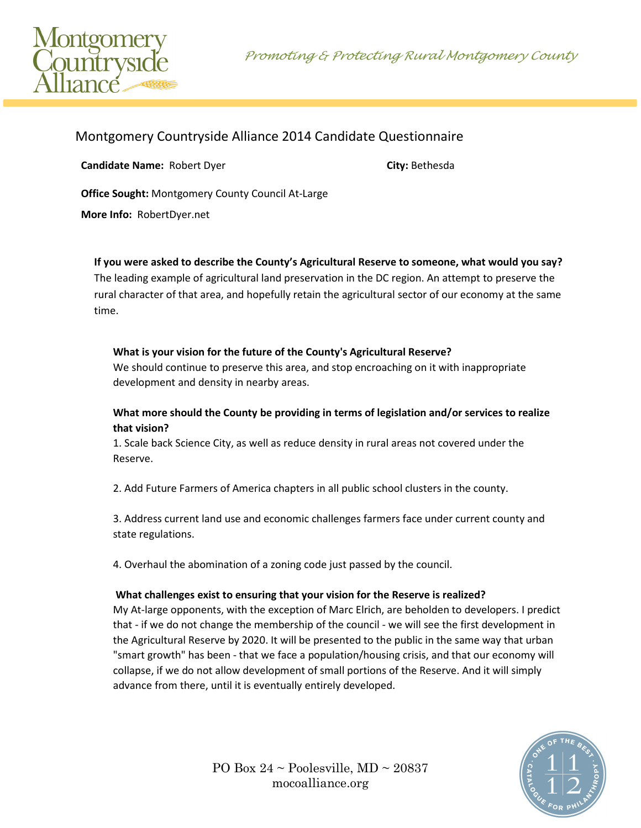Promoting & Protecting Rural Montgomery County



# Montgomery Countryside Alliance 2014 Candidate Questionnaire

**Candidate Name:** Robert Dyer **City:** Bethesda

**Office Sought:** Montgomery County Council At-Large

**More Info:** RobertDyer.net

**If you were asked to describe the County's Agricultural Reserve to someone, what would you say?**

The leading example of agricultural land preservation in the DC region. An attempt to preserve the rural character of that area, and hopefully retain the agricultural sector of our economy at the same time.

#### **What is your vision for the future of the County's Agricultural Reserve?**

We should continue to preserve this area, and stop encroaching on it with inappropriate development and density in nearby areas.

#### **What more should the County be providing in terms of legislation and/or services to realize that vision?**

1. Scale back Science City, as well as reduce density in rural areas not covered under the Reserve.

2. Add Future Farmers of America chapters in all public school clusters in the county.

3. Address current land use and economic challenges farmers face under current county and state regulations.

4. Overhaul the abomination of a zoning code just passed by the council.

#### **What challenges exist to ensuring that your vision for the Reserve is realized?**

My At-large opponents, with the exception of Marc Elrich, are beholden to developers. I predict that - if we do not change the membership of the council - we will see the first development in the Agricultural Reserve by 2020. It will be presented to the public in the same way that urban "smart growth" has been - that we face a population/housing crisis, and that our economy will collapse, if we do not allow development of small portions of the Reserve. And it will simply advance from there, until it is eventually entirely developed.